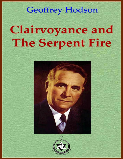## **Geoffrey Hodson**

# **Clairvoyance and The Serpent Fire**



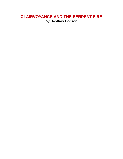#### **CLAIRVOYANCE AND THE SERPENT FIRE** *by* **Geoffrey Hodson**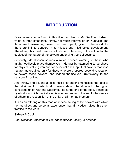### **INTRODUCTION**

Great value is to be found in this little pamphlet by Mr. Geoffrey Hodson, value in three categories. Firstly, not much information on Kundalini and its inherent awakening power has been openly given to the world, for there are infinite dangers in its misuse and misdirected development. Therefore, this brief treatise affords an interesting introduction to the subject of the nature of the powers underlying true clairvoyance.

Secondly, Mr. Hodson sounds a much needed warning to those who might heedlessly place themselves in danger by attempting to purchase for physical value given and for personal ends, spiritual powers that wise nature has ordained only for those who are prepared beyond revocation to devote those powers, and indeed themselves, irretrievably to the service of mankind.

And thirdly, and beyond all else, this brief paper emphasizes the goal to the attainment of which all powers should he directed. That goal, conscious union with the Supreme, Iies at the end of the road, attainable by effort, on which the first step is utter surrender of the self to the service of others in a recognition of the unity of all men as brothers.

It is as an offering on this road of service, telling of the powers with which he has direct and personal experience, that Mr. Hodson gives this short treatise to the world.

#### **Sidney A.Cook,**

*Past National President of The Theosophical Society in America*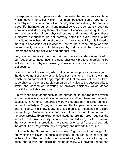Superphysical vision operates under precisely the same laws as those which govern physical vision. All men possess some degree of superphysical vision when out of the physical body during the hours of sleep. Furthermore, our astral and mental selves are constantly receiving vibrations and decoding them into terms of consciousness, quite apart from the activities of our physical bodies and brains. Happily these subjective experiences do not normally enter the brain, which is not constituted to withstand the strain of such intensive activity. It is indeed a merciful dispensation of Providence, that at the present stage of brain development, we are not clairvoyant by nature and that we do not remember our sleep activities and our past lives.

Very special preparation of the brain and nervous system is required, if our response to these incoming superphysical vibrations is safely to be included in our physical waking consciousness, as is the case in clairvoyance.

One reason for the warning which all spiritual neophytes receive against the development of purely psychic faculties as an end in itself—a warning which the author most strongly repeats—is that the value of the results of superphysical vision are rarely comparable in value to the susceptibility to strain and consequent lowering of physical efficiency which added sensitivity inevitably produces.

Clairvoyance adds enormously to the burden of life and renders physical existence infinitely more difficult of endurance. When therefore one sees, especially in America, otherwise worthy students paying large sums of money to self-styled Yogis, who in return offer to open the occult centers, one is filled with dismay. Many of these men take thousands of dollars out of large American cities and often leave behind them a trail of nervous wrecks. Even experienced students are not proof against the lure of occult powers easily acquired and are led away by these will-o' the-wisps, who thus prostitute the sacred science of Yoga and degrade the great title of Yogi which they arrogantly and unworthily assume.

Union with the Supreme—the only true Yoga—cannot be bought for "thirty pieces of silver". Its price is life itself, life poured out in service and self-sacrifice. The neophyte of undaunted will, who is ready to pay that price, and to train and discipline his personality, will inevitably reach the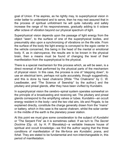goal of Union. If he aspires, as he rightly may, to superphysical vision in order better to understand and to serve, then he may rest assured that in the process of spiritual unfoldment he will quite naturally and safely increase the range of his responsiveness, gradually adding to it octave after octave of vibration beyond our physical spectrum of light.

Superphysical vision depends upon the passage of light energy from the object "seen", to the surface of one of the superphysical bodies, and presumably also upon a synchronizing of vibrations on the life side. From the surface of the body the light energy is conveyed to the egoic center in the vehicle concerned, this being in the head of the mental or emotional body. If, as in clairvoyance, the results are to be known in the physical brain, then a means must be found of changing the level of their manifestation from the superphysical to the physical.

There is a special mechanism for this process which, as will be seen, is a direct reversal of that performed by the physical parts of the mechanism of physical vision. In this case, the process is one of "stepping down", to use an electrical term, perhaps not quite accurately, though suggestively, and this is done by head *chakrams* [Wide "The Chakrams" by C. W. Leadbeater, and "The Science of Seership" by the author.] and the pituitary and pineal glands, after they have been vivified by Kundalini.

In superphysical vision the cerebro–spinal system operates somewhat on the principle of a broadcasting and receiving set. The pituitary and pineal glands correspond to the amplifying valves or tubes. Kundalini—an occult energy resident in the body—and the two vital airs, *Ids* and *Pingala*, to be explained directly, constitute the charge generally drawn from the "mains" or battery, which in this case is the sacral chakram, whilst the solar center in the middle of the earth is the planetary power station.

At this point we must give some consideration to the subject of *Kundalini* or "The Serpent Fire" as it is sometimes called. If we turn to *The Secret Doctrine* [Op. cit. by H. P. Blavatsky]—a veritable treasure house of spiritual and occult knowledge—we find the author saying that the three conditions of manifestation of the life-force are *Kundalini*, *prana*, and *fohat*. They are stated to be fundamental and non-interchangeable in, this period of manifestation.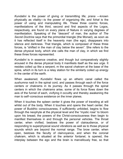*Kundalini* is the power of giving or transmitting life; *prana* —known physically as vitality—is the power of organizing life; and *fohat* is the power of using and manipulating life. These three cosmic forces, manifestations of the third, second and first aspects of the Logos, respectively, are found on every plane of Nature in varying degrees of manifestation. Speaking of the "descent" of man, the author of *The Secret Doctrine* says that the primordial triangle (the Monad), as soon as it has reflected itself in the heavenly man (the ego), disappears into silence and darkness. That triangle, which is composed of these three forces, is "shifted in the man of clay below the seven". She refers to the dense physical body, which she calls the man of clay, in which we find these three forces represented.

*Kundalini* is in essence creative, and though but comparatively slightly aroused in the dense physical body it manifests itself as the sex urge. It resides coiled up like a serpent, m the sacral *chakram* at the base of the spine, which in its turn is a relay station for the similarly coiled up energy in the center of the earth.

When awakened, *Kundalini* flows up an etheric canal called the *sushumna* nadi in the spinal cord, and passes through each of the force centers or chakrams in its journey. As it passes through the spinal centers in which the *chakrams* arise, some of its force flows down the axis of the funnel of each, vivifying it occultly and thereby awakening the man to self–conscious existence on the inner planes.

When it touches the spleen center it gives the power of traveling at will whilst out of the body. When it touches and opens the heart center, the power of Buddhic consciousness, if sufficiently unfolded, begins to flow through the neophyte at the physical level and the "mystic rose" to bloom upon his breast; the powers of the Christ-consciousness then begin to manifest themselves in and through the personal vehicles. The throat center, when vivified, bestows the power of clairaudience, or of responding to superphysical sound vibrations as well as to those physical sounds which are beyond the normal range. The brow center, when open, bestows the faculty of clairvoyance, and when the coronal chakram, which is situated at the anterior fontanel, is opened, the interplay between the ego and the brain is marvellously free, so that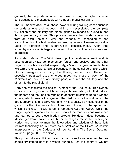gradually the neophyte acquires the power of using his higher, spiritual consciousness, simultaneously with that of the physical brain.

The full manifestation of all these powers during waking consciousness demands a long and arduous training; it necessitates the complete vivification of the pituitary and pineal glands by means of Kundalini and its complementary forces. This process renders the glands hyperactive from an occult point of view and capable of responding to and transmitting into the brain—also rendered hypersensitive—superphysical rates of vibration and superphysical consciousness. After that, superphysical vision is largely a matter of the focus of consciousness and of practice.

As stated above *Kundalini* rises up the *sushumna* nadi and is accompanied by two complementary forces, one positive and the other negative, which are called respectively, *Ids* and *Pingala*. Actually these two terms refer to two canals or passages in the spinal cord, along which akashic energies accompany the flowing serpent fire. These two oppositely polarized akashic forces meet and cross at each of the *chakrams* as they rise, and finally pass, one into the pituitary and the other into the pineal gland.

Here one recognizes the ancient symbol of the Caduceus. This symbol consists of a rod, round which two serpents are coiled, with their tails at the bottom and their bodies winding in opposite directions up to a winged sphere, which crowns the symbol. The Caduceus is the staff which the god Mercury is said to carry with him in his capacity as messenger of the gods. It is the Grecian symbol of *Kundalini* flowing up the spinal cord which is the rod. The two serpents represent *Ida* and *Pingala*, whilst the winged sphere symbolizes the freed soul of the man who has awakened and learned to use these hidden powers. He does indeed become a Messenger from heaven to earth, for he ranges free in the inner egoic worlds and brings to men the knowledge and wisdom of those lofty realms; technically he is known as a "Walker of the Skies". (A cosmic interpretation of the Caduceus will be found in The Secret Doctrine, Volume I, page 600, 3rd edition.)

This profoundly occult information is not given to us in order that we should try immediately to awaken Kundalini. On the contrary, we are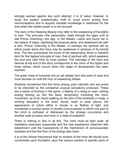strongly warned against any such attempt; it is of value, however, to study the subject academically, both to avoid errors arising from misconceptions and to acquire valuable knowledge in readiness for the time when the hidden power is to be aroused.

The story of the Sleeping Beauty may refer to the awakening of Kundalini in man. The princess—the personality—slept through the ages until at last Prince Charming—the ego, or the Master—came and found her in her palace of sleep, signifying the physical plane, and awakened her with a kiss. Prince Charming is the Master, or perhaps the spiritual will by which power alone this force may be awakened in advance of its normal time. The kiss symbolizes the touch of the descending *Atma* (a Sanskrit term for the highest principle of man, that of spiritual will), which awakens the soul and calls forth its inner powers. The marriage of the hero and heroine at the end of the story corresponds to the union of the higher and lower selves, which occurs when this stage of development has been reached.

The great mass of humanity are as yet asleep from this point of view and must slumber on until the hour of awakening strikes.

Students sometimes find this force arising quite naturally and are prone to be disturbed by the somewhat unusual sensations produced. These are a sense of burning in the spine, a feeling of a rising or even rushing energy flowing up into the head, temporarily confusing the mind, movement, as of an insect walking on the skin of the forehead or scalp, a whirling sensation in the brain, throat, heart or solar plexus, the appearance of colors either in clouds or as flashes of light, and sometimes a curious sense of double consciousness in which one part of the mind is confused or distressed by the strange occurrence and another quite at peace and even in a state of exaltation.

There is nothing to fear in all this. The mind must be kept quiet, all meditative exercises suspended and the new experience observed with detachment until the hyperactivity of the mechanism of consciousness subsides and the first flow of the energy dies down.

It is of the utmost importance that no student of the inner life should ever concentrate upon Kundalini, upon the various centers or specific parts of